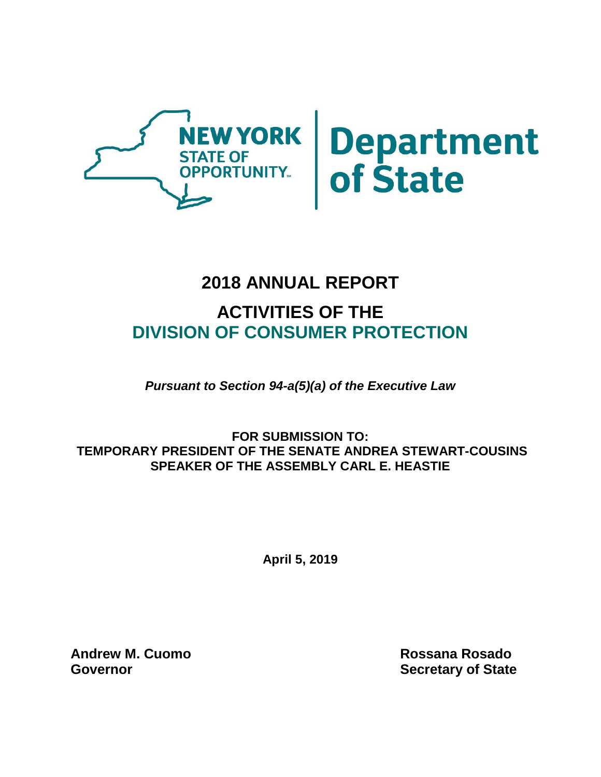

# Department<br>of State

# **2018 ANNUAL REPORT**

# **ACTIVITIES OF THE DIVISION OF CONSUMER PROTECTION**

*Pursuant to Section 94-a(5)(a) of the Executive Law*

**FOR SUBMISSION TO: TEMPORARY PRESIDENT OF THE SENATE ANDREA STEWART-COUSINS SPEAKER OF THE ASSEMBLY CARL E. HEASTIE**

**April 5, 2019**

**Andrew M. Cuomo Rossana Rosado Governor Secretary of State**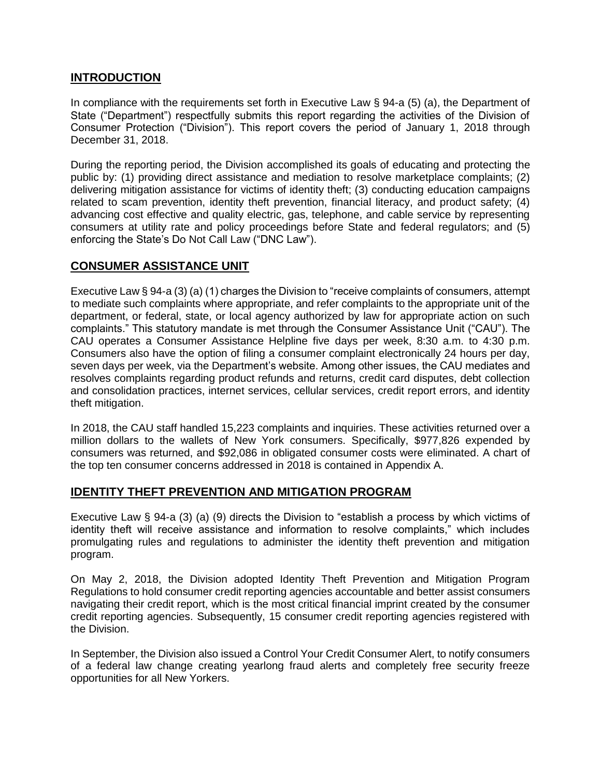#### **INTRODUCTION**

In compliance with the requirements set forth in Executive Law § 94-a (5) (a), the Department of State ("Department") respectfully submits this report regarding the activities of the Division of Consumer Protection ("Division"). This report covers the period of January 1, 2018 through December 31, 2018.

During the reporting period, the Division accomplished its goals of educating and protecting the public by: (1) providing direct assistance and mediation to resolve marketplace complaints; (2) delivering mitigation assistance for victims of identity theft; (3) conducting education campaigns related to scam prevention, identity theft prevention, financial literacy, and product safety; (4) advancing cost effective and quality electric, gas, telephone, and cable service by representing consumers at utility rate and policy proceedings before State and federal regulators; and (5) enforcing the State's Do Not Call Law ("DNC Law").

#### **CONSUMER ASSISTANCE UNIT**

Executive Law § 94-a (3) (a) (1) charges the Division to "receive complaints of consumers, attempt to mediate such complaints where appropriate, and refer complaints to the appropriate unit of the department, or federal, state, or local agency authorized by law for appropriate action on such complaints." This statutory mandate is met through the Consumer Assistance Unit ("CAU"). The CAU operates a Consumer Assistance Helpline five days per week, 8:30 a.m. to 4:30 p.m. Consumers also have the option of filing a consumer complaint electronically 24 hours per day, seven days per week, via the Department's website. Among other issues, the CAU mediates and resolves complaints regarding product refunds and returns, credit card disputes, debt collection and consolidation practices, internet services, cellular services, credit report errors, and identity theft mitigation.

In 2018, the CAU staff handled 15,223 complaints and inquiries. These activities returned over a million dollars to the wallets of New York consumers. Specifically, \$977,826 expended by consumers was returned, and \$92,086 in obligated consumer costs were eliminated. A chart of the top ten consumer concerns addressed in 2018 is contained in Appendix A.

#### **IDENTITY THEFT PREVENTION AND MITIGATION PROGRAM**

Executive Law § 94-a (3) (a) (9) directs the Division to "establish a process by which victims of identity theft will receive assistance and information to resolve complaints," which includes promulgating rules and regulations to administer the identity theft prevention and mitigation program.

On May 2, 2018, the Division adopted Identity Theft Prevention and Mitigation Program Regulations to hold consumer credit reporting agencies accountable and better assist consumers navigating their credit report, which is the most critical financial imprint created by the consumer credit reporting agencies. Subsequently, 15 consumer credit reporting agencies registered with the Division.

In September, the Division also issued a Control Your Credit Consumer Alert, to notify consumers of a federal law change creating yearlong fraud alerts and completely free security freeze opportunities for all New Yorkers.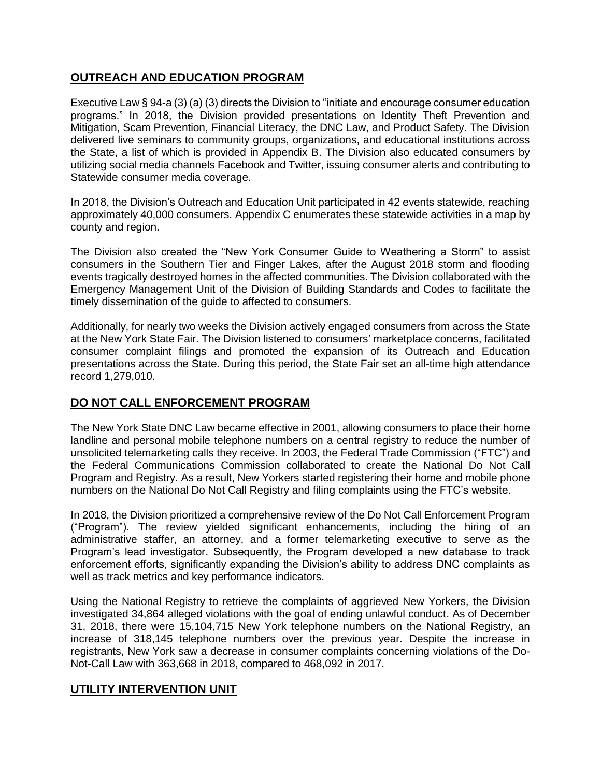#### **OUTREACH AND EDUCATION PROGRAM**

Executive Law § 94-a (3) (a) (3) directs the Division to "initiate and encourage consumer education programs." In 2018, the Division provided presentations on Identity Theft Prevention and Mitigation, Scam Prevention, Financial Literacy, the DNC Law, and Product Safety. The Division delivered live seminars to community groups, organizations, and educational institutions across the State, a list of which is provided in Appendix B. The Division also educated consumers by utilizing social media channels Facebook and Twitter, issuing consumer alerts and contributing to Statewide consumer media coverage.

In 2018, the Division's Outreach and Education Unit participated in 42 events statewide, reaching approximately 40,000 consumers. Appendix C enumerates these statewide activities in a map by county and region.

The Division also created the "New York Consumer Guide to Weathering a Storm" to assist consumers in the Southern Tier and Finger Lakes, after the August 2018 storm and flooding events tragically destroyed homes in the affected communities. The Division collaborated with the Emergency Management Unit of the Division of Building Standards and Codes to facilitate the timely dissemination of the guide to affected to consumers.

Additionally, for nearly two weeks the Division actively engaged consumers from across the State at the New York State Fair. The Division listened to consumers' marketplace concerns, facilitated consumer complaint filings and promoted the expansion of its Outreach and Education presentations across the State. During this period, the State Fair set an all-time high attendance record 1,279,010.

#### **DO NOT CALL ENFORCEMENT PROGRAM**

The New York State DNC Law became effective in 2001, allowing consumers to place their home landline and personal mobile telephone numbers on a central registry to reduce the number of unsolicited telemarketing calls they receive. In 2003, the Federal Trade Commission ("FTC") and the Federal Communications Commission collaborated to create the National Do Not Call Program and Registry. As a result, New Yorkers started registering their home and mobile phone numbers on the National Do Not Call Registry and filing complaints using the FTC's website.

In 2018, the Division prioritized a comprehensive review of the Do Not Call Enforcement Program ("Program"). The review yielded significant enhancements, including the hiring of an administrative staffer, an attorney, and a former telemarketing executive to serve as the Program's lead investigator. Subsequently, the Program developed a new database to track enforcement efforts, significantly expanding the Division's ability to address DNC complaints as well as track metrics and key performance indicators.

Using the National Registry to retrieve the complaints of aggrieved New Yorkers, the Division investigated 34,864 alleged violations with the goal of ending unlawful conduct. As of December 31, 2018, there were 15,104,715 New York telephone numbers on the National Registry, an increase of 318,145 telephone numbers over the previous year. Despite the increase in registrants, New York saw a decrease in consumer complaints concerning violations of the Do-Not-Call Law with 363,668 in 2018, compared to 468,092 in 2017.

#### **UTILITY INTERVENTION UNIT**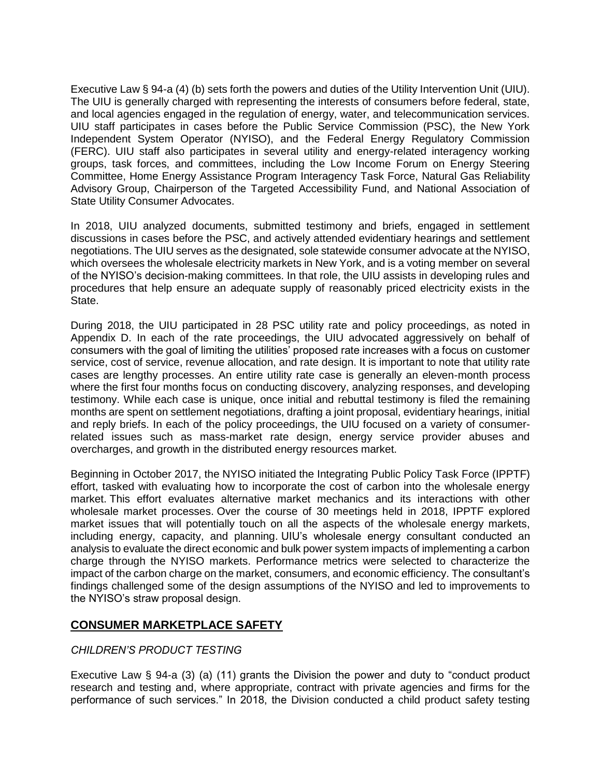Executive Law § 94-a (4) (b) sets forth the powers and duties of the Utility Intervention Unit (UIU). The UIU is generally charged with representing the interests of consumers before federal, state, and local agencies engaged in the regulation of energy, water, and telecommunication services. UIU staff participates in cases before the Public Service Commission (PSC), the New York Independent System Operator (NYISO), and the Federal Energy Regulatory Commission (FERC). UIU staff also participates in several utility and energy-related interagency working groups, task forces, and committees, including the Low Income Forum on Energy Steering Committee, Home Energy Assistance Program Interagency Task Force, Natural Gas Reliability Advisory Group, Chairperson of the Targeted Accessibility Fund, and National Association of State Utility Consumer Advocates.

In 2018, UIU analyzed documents, submitted testimony and briefs, engaged in settlement discussions in cases before the PSC, and actively attended evidentiary hearings and settlement negotiations. The UIU serves as the designated, sole statewide consumer advocate at the NYISO, which oversees the wholesale electricity markets in New York, and is a voting member on several of the NYISO's decision-making committees. In that role, the UIU assists in developing rules and procedures that help ensure an adequate supply of reasonably priced electricity exists in the State.

During 2018, the UIU participated in 28 PSC utility rate and policy proceedings, as noted in Appendix D. In each of the rate proceedings, the UIU advocated aggressively on behalf of consumers with the goal of limiting the utilities' proposed rate increases with a focus on customer service, cost of service, revenue allocation, and rate design. It is important to note that utility rate cases are lengthy processes. An entire utility rate case is generally an eleven-month process where the first four months focus on conducting discovery, analyzing responses, and developing testimony. While each case is unique, once initial and rebuttal testimony is filed the remaining months are spent on settlement negotiations, drafting a joint proposal, evidentiary hearings, initial and reply briefs. In each of the policy proceedings, the UIU focused on a variety of consumerrelated issues such as mass-market rate design, energy service provider abuses and overcharges, and growth in the distributed energy resources market.

Beginning in October 2017, the NYISO initiated the Integrating Public Policy Task Force (IPPTF) effort, tasked with evaluating how to incorporate the cost of carbon into the wholesale energy market. This effort evaluates alternative market mechanics and its interactions with other wholesale market processes. Over the course of 30 meetings held in 2018, IPPTF explored market issues that will potentially touch on all the aspects of the wholesale energy markets, including energy, capacity, and planning. UIU's wholesale energy consultant conducted an analysis to evaluate the direct economic and bulk power system impacts of implementing a carbon charge through the NYISO markets. Performance metrics were selected to characterize the impact of the carbon charge on the market, consumers, and economic efficiency. The consultant's findings challenged some of the design assumptions of the NYISO and led to improvements to the NYISO's straw proposal design.

#### **CONSUMER MARKETPLACE SAFETY**

#### *CHILDREN'S PRODUCT TESTING*

Executive Law § 94-a (3) (a) (11) grants the Division the power and duty to "conduct product research and testing and, where appropriate, contract with private agencies and firms for the performance of such services." In 2018, the Division conducted a child product safety testing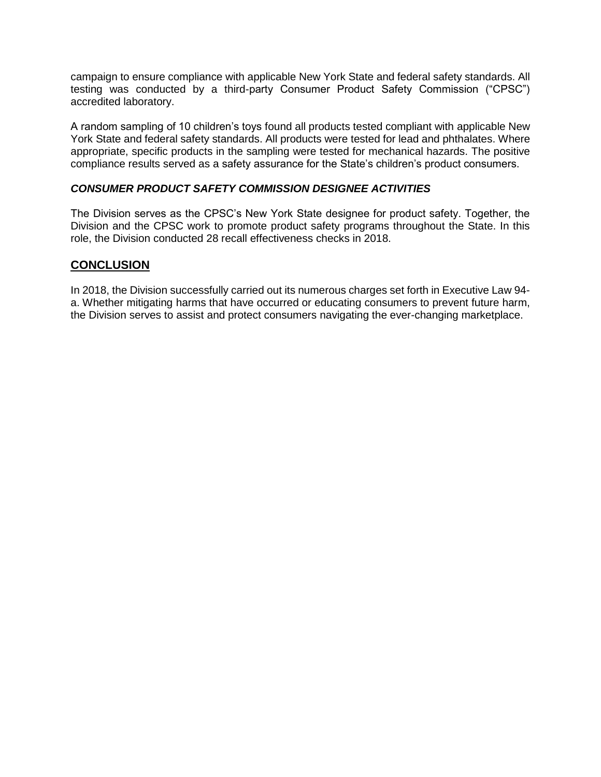campaign to ensure compliance with applicable New York State and federal safety standards. All testing was conducted by a third-party Consumer Product Safety Commission ("CPSC") accredited laboratory.

A random sampling of 10 children's toys found all products tested compliant with applicable New York State and federal safety standards. All products were tested for lead and phthalates. Where appropriate, specific products in the sampling were tested for mechanical hazards. The positive compliance results served as a safety assurance for the State's children's product consumers.

#### *CONSUMER PRODUCT SAFETY COMMISSION DESIGNEE ACTIVITIES*

The Division serves as the CPSC's New York State designee for product safety. Together, the Division and the CPSC work to promote product safety programs throughout the State. In this role, the Division conducted 28 recall effectiveness checks in 2018.

#### **CONCLUSION**

In 2018, the Division successfully carried out its numerous charges set forth in Executive Law 94 a. Whether mitigating harms that have occurred or educating consumers to prevent future harm, the Division serves to assist and protect consumers navigating the ever-changing marketplace.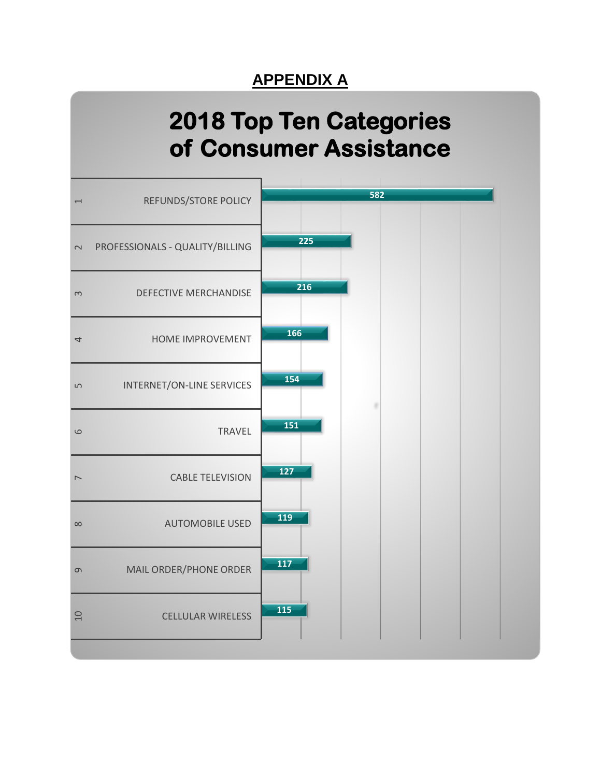# **APPENDIX A**

# **2018 Top Ten Categories of Consumer Assistance**

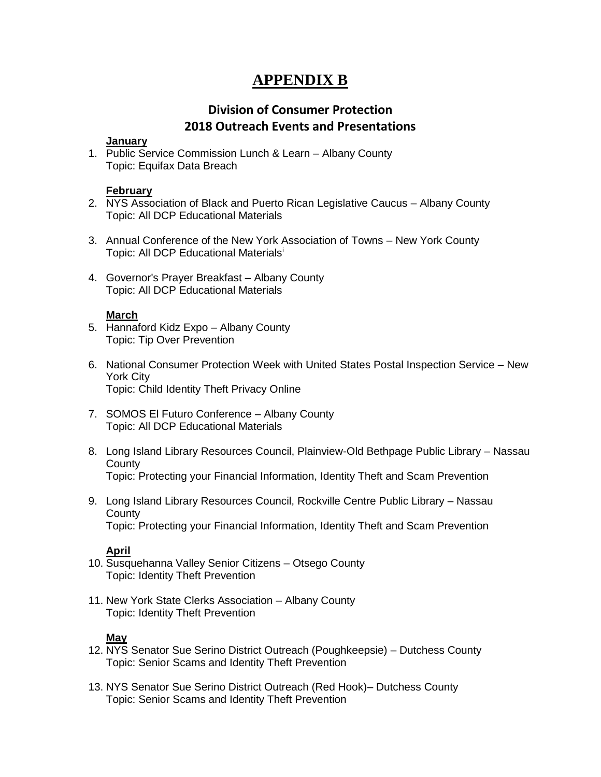## **APPENDIX B**

#### **Division of Consumer Protection 2018 Outreach Events and Presentations**

#### **January**

1. Public Service Commission Lunch & Learn – Albany County Topic: Equifax Data Breach

#### **February**

- 2. NYS Association of Black and Puerto Rican Legislative Caucus Albany County Topic: All DCP Educational Materials
- 3. Annual Conference of the New York Association of Towns New York County Topic: All DCP Educational Materials<sup>i</sup>
- 4. Governor's Prayer Breakfast Albany County Topic: All DCP Educational Materials

#### **March**

- 5. Hannaford Kidz Expo Albany County Topic: Tip Over Prevention
- 6. National Consumer Protection Week with United States Postal Inspection Service New York City Topic: Child Identity Theft Privacy Online
- 7. SOMOS El Futuro Conference Albany County Topic: All DCP Educational Materials
- 8. Long Island Library Resources Council, Plainview-Old Bethpage Public Library Nassau **County** Topic: Protecting your Financial Information, Identity Theft and Scam Prevention
- 9. Long Island Library Resources Council, Rockville Centre Public Library Nassau **County** Topic: Protecting your Financial Information, Identity Theft and Scam Prevention

#### **April**

- 10. Susquehanna Valley Senior Citizens Otsego County Topic: Identity Theft Prevention
- 11. New York State Clerks Association Albany County Topic: Identity Theft Prevention

#### **May**

- 12. NYS Senator Sue Serino District Outreach (Poughkeepsie) Dutchess County Topic: Senior Scams and Identity Theft Prevention
- 13. NYS Senator Sue Serino District Outreach (Red Hook)– Dutchess County Topic: Senior Scams and Identity Theft Prevention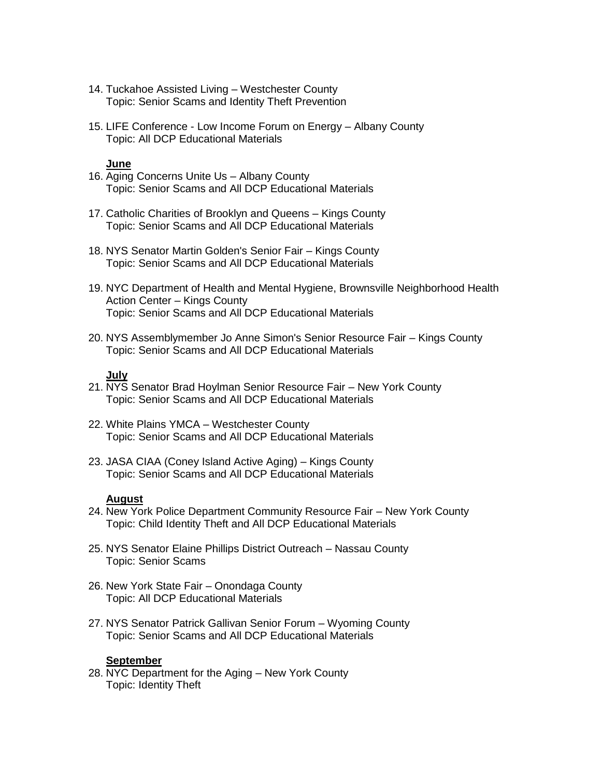- 14. Tuckahoe Assisted Living Westchester County Topic: Senior Scams and Identity Theft Prevention
- 15. LIFE Conference Low Income Forum on Energy Albany County Topic: All DCP Educational Materials

#### **June**

- 16. Aging Concerns Unite Us Albany County Topic: Senior Scams and All DCP Educational Materials
- 17. Catholic Charities of Brooklyn and Queens Kings County Topic: Senior Scams and All DCP Educational Materials
- 18. NYS Senator Martin Golden's Senior Fair Kings County Topic: Senior Scams and All DCP Educational Materials
- 19. NYC Department of Health and Mental Hygiene, Brownsville Neighborhood Health Action Center – Kings County Topic: Senior Scams and All DCP Educational Materials
- 20. NYS Assemblymember Jo Anne Simon's Senior Resource Fair Kings County Topic: Senior Scams and All DCP Educational Materials

#### **July**

- 21. NYS Senator Brad Hoylman Senior Resource Fair New York County Topic: Senior Scams and All DCP Educational Materials
- 22. White Plains YMCA Westchester County Topic: Senior Scams and All DCP Educational Materials
- 23. JASA CIAA (Coney Island Active Aging) Kings County Topic: Senior Scams and All DCP Educational Materials

#### **August**

- 24. New York Police Department Community Resource Fair New York County Topic: Child Identity Theft and All DCP Educational Materials
- 25. NYS Senator Elaine Phillips District Outreach Nassau County Topic: Senior Scams
- 26. New York State Fair Onondaga County Topic: All DCP Educational Materials
- 27. NYS Senator Patrick Gallivan Senior Forum Wyoming County Topic: Senior Scams and All DCP Educational Materials

#### **September**

28. NYC Department for the Aging – New York County Topic: Identity Theft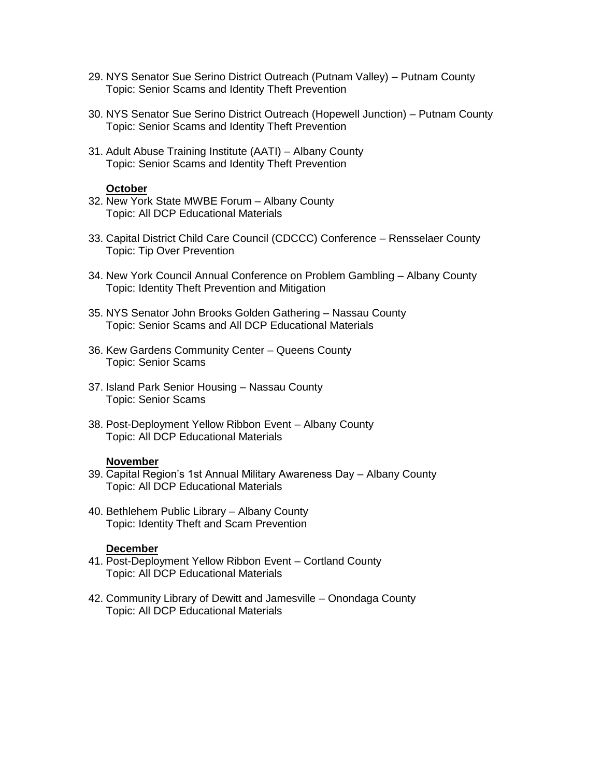- 29. NYS Senator Sue Serino District Outreach (Putnam Valley) Putnam County Topic: Senior Scams and Identity Theft Prevention
- 30. NYS Senator Sue Serino District Outreach (Hopewell Junction) Putnam County Topic: Senior Scams and Identity Theft Prevention
- 31. Adult Abuse Training Institute (AATI) Albany County Topic: Senior Scams and Identity Theft Prevention

#### **October**

- 32. New York State MWBE Forum Albany County Topic: All DCP Educational Materials
- 33. Capital District Child Care Council (CDCCC) Conference Rensselaer County Topic: Tip Over Prevention
- 34. New York Council Annual Conference on Problem Gambling Albany County Topic: Identity Theft Prevention and Mitigation
- 35. NYS Senator John Brooks Golden Gathering Nassau County Topic: Senior Scams and All DCP Educational Materials
- 36. Kew Gardens Community Center Queens County Topic: Senior Scams
- 37. Island Park Senior Housing Nassau County Topic: Senior Scams
- 38. Post-Deployment Yellow Ribbon Event Albany County Topic: All DCP Educational Materials

#### **November**

- 39. Capital Region's 1st Annual Military Awareness Day Albany County Topic: All DCP Educational Materials
- 40. Bethlehem Public Library Albany County Topic: Identity Theft and Scam Prevention

#### **December**

- 41. Post-Deployment Yellow Ribbon Event Cortland County Topic: All DCP Educational Materials
- 42. Community Library of Dewitt and Jamesville Onondaga County Topic: All DCP Educational Materials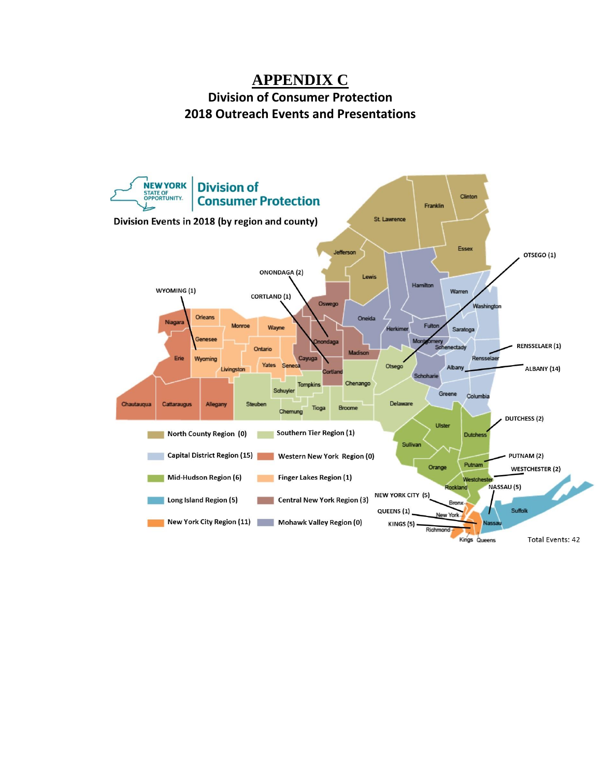### **APPENDIX C Division of Consumer Protection 2018 Outreach Events and Presentations**

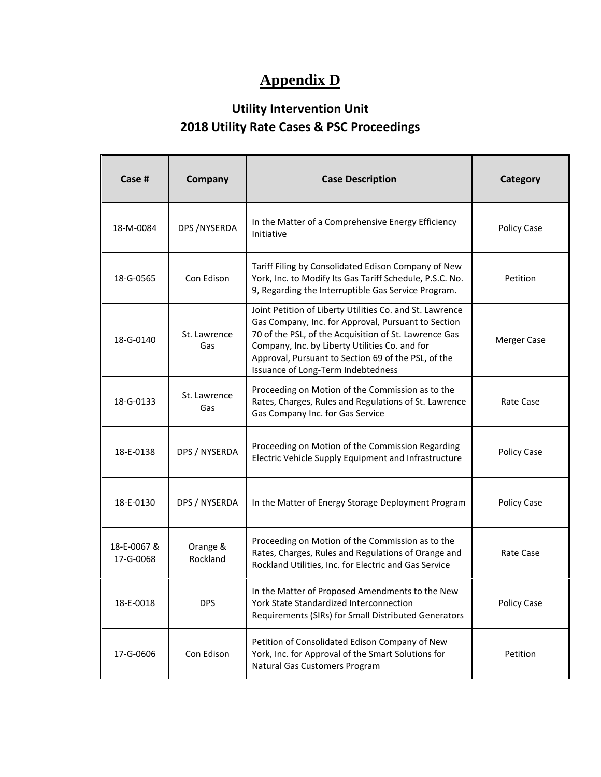# **Appendix D**

# **Utility Intervention Unit 2018 Utility Rate Cases & PSC Proceedings**

| Case #                   | Company              | <b>Case Description</b>                                                                                                                                                                                                                                                                                                 | Category    |
|--------------------------|----------------------|-------------------------------------------------------------------------------------------------------------------------------------------------------------------------------------------------------------------------------------------------------------------------------------------------------------------------|-------------|
| 18-M-0084                | DPS / NYSERDA        | In the Matter of a Comprehensive Energy Efficiency<br>Initiative                                                                                                                                                                                                                                                        | Policy Case |
| 18-G-0565                | Con Edison           | Tariff Filing by Consolidated Edison Company of New<br>York, Inc. to Modify Its Gas Tariff Schedule, P.S.C. No.<br>9, Regarding the Interruptible Gas Service Program.                                                                                                                                                  | Petition    |
| 18-G-0140                | St. Lawrence<br>Gas  | Joint Petition of Liberty Utilities Co. and St. Lawrence<br>Gas Company, Inc. for Approval, Pursuant to Section<br>70 of the PSL, of the Acquisition of St. Lawrence Gas<br>Company, Inc. by Liberty Utilities Co. and for<br>Approval, Pursuant to Section 69 of the PSL, of the<br>Issuance of Long-Term Indebtedness | Merger Case |
| 18-G-0133                | St. Lawrence<br>Gas  | Proceeding on Motion of the Commission as to the<br>Rates, Charges, Rules and Regulations of St. Lawrence<br>Gas Company Inc. for Gas Service                                                                                                                                                                           | Rate Case   |
| 18-E-0138                | DPS / NYSERDA        | Proceeding on Motion of the Commission Regarding<br>Electric Vehicle Supply Equipment and Infrastructure                                                                                                                                                                                                                | Policy Case |
| 18-E-0130                | DPS / NYSERDA        | In the Matter of Energy Storage Deployment Program                                                                                                                                                                                                                                                                      | Policy Case |
| 18-E-0067 &<br>17-G-0068 | Orange &<br>Rockland | Proceeding on Motion of the Commission as to the<br>Rates, Charges, Rules and Regulations of Orange and<br>Rockland Utilities, Inc. for Electric and Gas Service                                                                                                                                                        | Rate Case   |
| 18-E-0018                | <b>DPS</b>           | In the Matter of Proposed Amendments to the New<br>York State Standardized Interconnection<br>Requirements (SIRs) for Small Distributed Generators                                                                                                                                                                      | Policy Case |
| 17-G-0606                | Con Edison           | Petition of Consolidated Edison Company of New<br>York, Inc. for Approval of the Smart Solutions for<br>Natural Gas Customers Program                                                                                                                                                                                   | Petition    |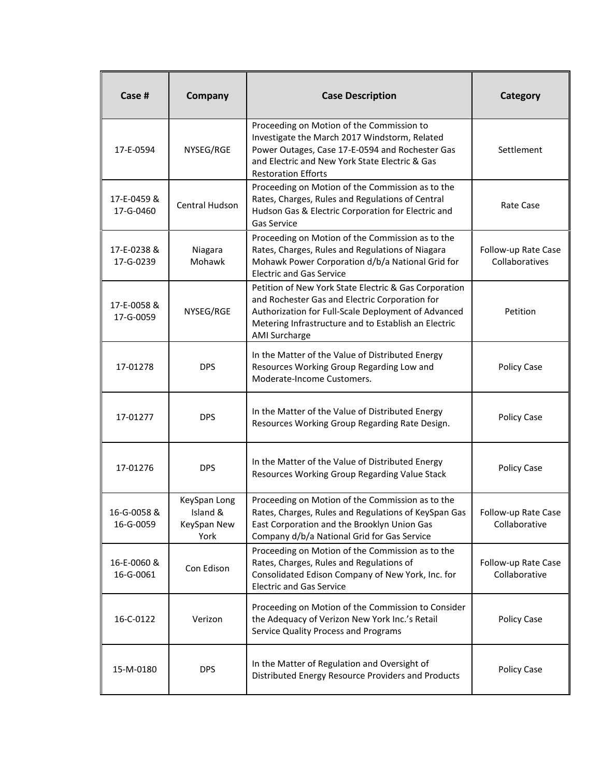| Case #                   | Company                                         | <b>Case Description</b>                                                                                                                                                                                                                        | <b>Category</b>                       |
|--------------------------|-------------------------------------------------|------------------------------------------------------------------------------------------------------------------------------------------------------------------------------------------------------------------------------------------------|---------------------------------------|
| 17-E-0594                | NYSEG/RGE                                       | Proceeding on Motion of the Commission to<br>Investigate the March 2017 Windstorm, Related<br>Power Outages, Case 17-E-0594 and Rochester Gas<br>and Electric and New York State Electric & Gas<br><b>Restoration Efforts</b>                  | Settlement                            |
| 17-E-0459 &<br>17-G-0460 | Central Hudson                                  | Proceeding on Motion of the Commission as to the<br>Rates, Charges, Rules and Regulations of Central<br>Hudson Gas & Electric Corporation for Electric and<br><b>Gas Service</b>                                                               | Rate Case                             |
| 17-E-0238 &<br>17-G-0239 | Niagara<br>Mohawk                               | Proceeding on Motion of the Commission as to the<br>Rates, Charges, Rules and Regulations of Niagara<br>Mohawk Power Corporation d/b/a National Grid for<br><b>Electric and Gas Service</b>                                                    | Follow-up Rate Case<br>Collaboratives |
| 17-E-0058 &<br>17-G-0059 | NYSEG/RGE                                       | Petition of New York State Electric & Gas Corporation<br>and Rochester Gas and Electric Corporation for<br>Authorization for Full-Scale Deployment of Advanced<br>Metering Infrastructure and to Establish an Electric<br><b>AMI Surcharge</b> | Petition                              |
| 17-01278                 | <b>DPS</b>                                      | In the Matter of the Value of Distributed Energy<br>Resources Working Group Regarding Low and<br>Moderate-Income Customers.                                                                                                                    | Policy Case                           |
| 17-01277                 | <b>DPS</b>                                      | In the Matter of the Value of Distributed Energy<br>Resources Working Group Regarding Rate Design.                                                                                                                                             | Policy Case                           |
| 17-01276                 | <b>DPS</b>                                      | In the Matter of the Value of Distributed Energy<br>Resources Working Group Regarding Value Stack                                                                                                                                              | Policy Case                           |
| 16-G-0058 &<br>16-G-0059 | KeySpan Long<br>Island &<br>KeySpan New<br>York | Proceeding on Motion of the Commission as to the<br>Rates, Charges, Rules and Regulations of KeySpan Gas<br>East Corporation and the Brooklyn Union Gas<br>Company d/b/a National Grid for Gas Service                                         | Follow-up Rate Case<br>Collaborative  |
| 16-E-0060 &<br>16-G-0061 | Con Edison                                      | Proceeding on Motion of the Commission as to the<br>Rates, Charges, Rules and Regulations of<br>Consolidated Edison Company of New York, Inc. for<br><b>Electric and Gas Service</b>                                                           | Follow-up Rate Case<br>Collaborative  |
| 16-C-0122                | Verizon                                         | Proceeding on Motion of the Commission to Consider<br>the Adequacy of Verizon New York Inc.'s Retail<br>Service Quality Process and Programs                                                                                                   | Policy Case                           |
| 15-M-0180                | <b>DPS</b>                                      | In the Matter of Regulation and Oversight of<br>Distributed Energy Resource Providers and Products                                                                                                                                             | Policy Case                           |